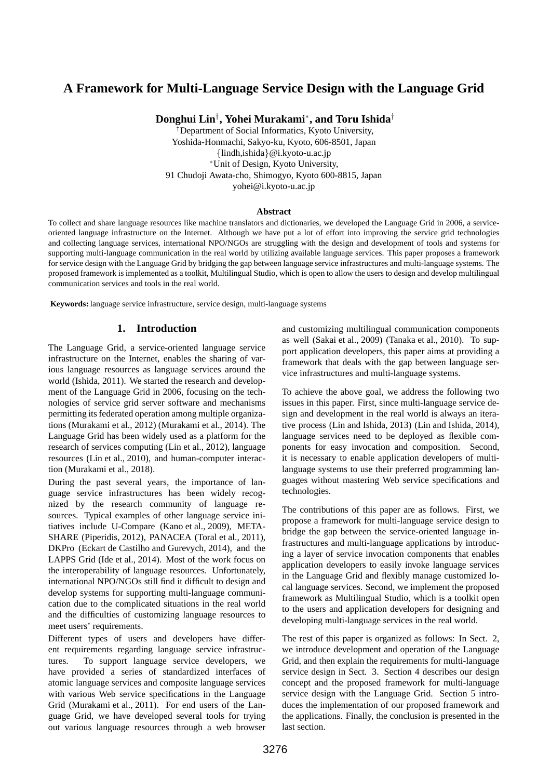# **A Framework for Multi-Language Service Design with the Language Grid**

**Donghui Lin***†* **, Yohei Murakami***<sup>∗</sup>* **, and Toru Ishida***†*

*†*Department of Social Informatics, Kyoto University, Yoshida-Honmachi, Sakyo-ku, Kyoto, 606-8501, Japan *{*lindh,ishida*}*@i.kyoto-u.ac.jp *<sup>∗</sup>*Unit of Design, Kyoto University, 91 Chudoji Awata-cho, Shimogyo, Kyoto 600-8815, Japan yohei@i.kyoto-u.ac.jp

#### **Abstract**

To collect and share language resources like machine translators and dictionaries, we developed the Language Grid in 2006, a serviceoriented language infrastructure on the Internet. Although we have put a lot of effort into improving the service grid technologies and collecting language services, international NPO/NGOs are struggling with the design and development of tools and systems for supporting multi-language communication in the real world by utilizing available language services. This paper proposes a framework for service design with the Language Grid by bridging the gap between language service infrastructures and multi-language systems. The proposed framework is implemented as a toolkit, Multilingual Studio, which is open to allow the users to design and develop multilingual communication services and tools in the real world.

**Keywords:** language service infrastructure, service design, multi-language systems

#### **1. Introduction**

The Language Grid, a service-oriented language service infrastructure on the Internet, enables the sharing of various language resources as language services around the world (Ishida, 2011). We started the research and development of the Language Grid in 2006, focusing on the technologies of service grid server software and mechanisms permitting its federated operation among multiple organizations (Murakami et al., 2012) (Murakami et al., 2014). The Language Grid has been widely used as a platform for the research of services computing (Lin et al., 2012), language resources (Lin et al., 2010), and human-computer interaction (Murakami et al., 2018).

During the past several years, the importance of language service infrastructures has been widely recognized by the research community of language resources. Typical examples of other language service initiatives include U-Compare (Kano et al., 2009), META-SHARE (Piperidis, 2012), PANACEA (Toral et al., 2011), DKPro (Eckart de Castilho and Gurevych, 2014), and the LAPPS Grid (Ide et al., 2014). Most of the work focus on the interoperability of language resources. Unfortunately, international NPO/NGOs still find it difficult to design and develop systems for supporting multi-language communication due to the complicated situations in the real world and the difficulties of customizing language resources to meet users' requirements.

Different types of users and developers have different requirements regarding language service infrastructures. To support language service developers, we have provided a series of standardized interfaces of atomic language services and composite language services with various Web service specifications in the Language Grid (Murakami et al., 2011). For end users of the Language Grid, we have developed several tools for trying out various language resources through a web browser and customizing multilingual communication components as well (Sakai et al., 2009) (Tanaka et al., 2010). To support application developers, this paper aims at providing a framework that deals with the gap between language service infrastructures and multi-language systems.

To achieve the above goal, we address the following two issues in this paper. First, since multi-language service design and development in the real world is always an iterative process (Lin and Ishida, 2013) (Lin and Ishida, 2014), language services need to be deployed as flexible components for easy invocation and composition. Second, it is necessary to enable application developers of multilanguage systems to use their preferred programming languages without mastering Web service specifications and technologies.

The contributions of this paper are as follows. First, we propose a framework for multi-language service design to bridge the gap between the service-oriented language infrastructures and multi-language applications by introducing a layer of service invocation components that enables application developers to easily invoke language services in the Language Grid and flexibly manage customized local language services. Second, we implement the proposed framework as Multilingual Studio, which is a toolkit open to the users and application developers for designing and developing multi-language services in the real world.

The rest of this paper is organized as follows: In Sect. 2, we introduce development and operation of the Language Grid, and then explain the requirements for multi-language service design in Sect. 3. Section 4 describes our design concept and the proposed framework for multi-language service design with the Language Grid. Section 5 introduces the implementation of our proposed framework and the applications. Finally, the conclusion is presented in the last section.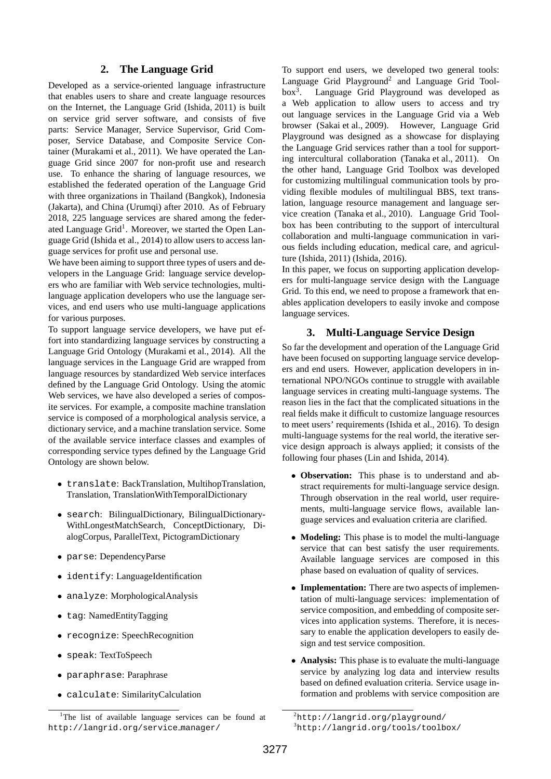#### **2. The Language Grid**

Developed as a service-oriented language infrastructure that enables users to share and create language resources on the Internet, the Language Grid (Ishida, 2011) is built on service grid server software, and consists of five parts: Service Manager, Service Supervisor, Grid Composer, Service Database, and Composite Service Container (Murakami et al., 2011). We have operated the Language Grid since 2007 for non-profit use and research use. To enhance the sharing of language resources, we established the federated operation of the Language Grid with three organizations in Thailand (Bangkok), Indonesia (Jakarta), and China (Urumqi) after 2010. As of February 2018, 225 language services are shared among the federated Language Grid<sup>1</sup>. Moreover, we started the Open Language Grid (Ishida et al., 2014) to allow users to access language services for profit use and personal use.

We have been aiming to support three types of users and developers in the Language Grid: language service developers who are familiar with Web service technologies, multilanguage application developers who use the language services, and end users who use multi-language applications for various purposes.

To support language service developers, we have put effort into standardizing language services by constructing a Language Grid Ontology (Murakami et al., 2014). All the language services in the Language Grid are wrapped from language resources by standardized Web service interfaces defined by the Language Grid Ontology. Using the atomic Web services, we have also developed a series of composite services. For example, a composite machine translation service is composed of a morphological analysis service, a dictionary service, and a machine translation service. Some of the available service interface classes and examples of corresponding service types defined by the Language Grid Ontology are shown below.

- *•* translate: BackTranslation, MultihopTranslation, Translation, TranslationWithTemporalDictionary
- *•* search: BilingualDictionary, BilingualDictionary-WithLongestMatchSearch, ConceptDictionary, DialogCorpus, ParallelText, PictogramDictionary
- *•* parse: DependencyParse
- *•* identify: LanguageIdentification
- *•* analyze: MorphologicalAnalysis
- *•* tag: NamedEntityTagging
- *•* recognize: SpeechRecognition
- *•* speak: TextToSpeech
- *•* paraphrase: Paraphrase
- *•* calculate: SimilarityCalculation

To support end users, we developed two general tools: Language Grid Playground<sup>2</sup> and Language Grid Tool $box<sup>3</sup>$ . . Language Grid Playground was developed as a Web application to allow users to access and try out language services in the Language Grid via a Web browser (Sakai et al., 2009). However, Language Grid Playground was designed as a showcase for displaying the Language Grid services rather than a tool for supporting intercultural collaboration (Tanaka et al., 2011). On the other hand, Language Grid Toolbox was developed for customizing multilingual communication tools by providing flexible modules of multilingual BBS, text translation, language resource management and language service creation (Tanaka et al., 2010). Language Grid Toolbox has been contributing to the support of intercultural collaboration and multi-language communication in various fields including education, medical care, and agriculture (Ishida, 2011) (Ishida, 2016).

In this paper, we focus on supporting application developers for multi-language service design with the Language Grid. To this end, we need to propose a framework that enables application developers to easily invoke and compose language services.

#### **3. Multi-Language Service Design**

So far the development and operation of the Language Grid have been focused on supporting language service developers and end users. However, application developers in international NPO/NGOs continue to struggle with available language services in creating multi-language systems. The reason lies in the fact that the complicated situations in the real fields make it difficult to customize language resources to meet users' requirements (Ishida et al., 2016). To design multi-language systems for the real world, the iterative service design approach is always applied; it consists of the following four phases (Lin and Ishida, 2014).

- *•* **Observation:** This phase is to understand and abstract requirements for multi-language service design. Through observation in the real world, user requirements, multi-language service flows, available language services and evaluation criteria are clarified.
- *•* **Modeling:** This phase is to model the multi-language service that can best satisfy the user requirements. Available language services are composed in this phase based on evaluation of quality of services.
- *•* **Implementation:** There are two aspects of implementation of multi-language services: implementation of service composition, and embedding of composite services into application systems. Therefore, it is necessary to enable the application developers to easily design and test service composition.
- *•* **Analysis:** This phase is to evaluate the multi-language service by analyzing log data and interview results based on defined evaluation criteria. Service usage information and problems with service composition are

<sup>&</sup>lt;sup>1</sup>The list of available language services can be found at http://langrid.org/service manager/

 ${}^{2}$ http://langrid.org/playground/

<sup>3</sup>http://langrid.org/tools/toolbox/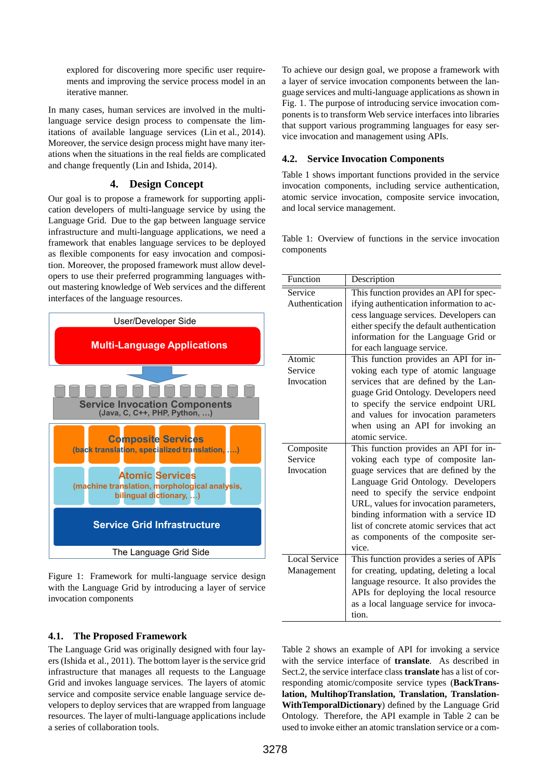explored for discovering more specific user requirements and improving the service process model in an iterative manner.

In many cases, human services are involved in the multilanguage service design process to compensate the limitations of available language services (Lin et al., 2014). Moreover, the service design process might have many iterations when the situations in the real fields are complicated and change frequently (Lin and Ishida, 2014).

### **4. Design Concept**

Our goal is to propose a framework for supporting application developers of multi-language service by using the Language Grid. Due to the gap between language service infrastructure and multi-language applications, we need a framework that enables language services to be deployed as flexible components for easy invocation and composition. Moreover, the proposed framework must allow developers to use their preferred programming languages without mastering knowledge of Web services and the different interfaces of the language resources.



Figure 1: Framework for multi-language service design with the Language Grid by introducing a layer of service invocation components

### **4.1. The Proposed Framework**

The Language Grid was originally designed with four layers (Ishida et al., 2011). The bottom layer is the service grid infrastructure that manages all requests to the Language Grid and invokes language services. The layers of atomic service and composite service enable language service developers to deploy services that are wrapped from language resources. The layer of multi-language applications include a series of collaboration tools.

To achieve our design goal, we propose a framework with a layer of service invocation components between the language services and multi-language applications as shown in Fig. 1. The purpose of introducing service invocation components is to transform Web service interfaces into libraries that support various programming languages for easy service invocation and management using APIs.

### **4.2. Service Invocation Components**

Table 1 shows important functions provided in the service invocation components, including service authentication, atomic service invocation, composite service invocation, and local service management.

Table 1: Overview of functions in the service invocation components

| Function              | Description                                                                    |
|-----------------------|--------------------------------------------------------------------------------|
| Service               | This function provides an API for spec-                                        |
| Authentication        | ifying authentication information to ac-                                       |
|                       | cess language services. Developers can                                         |
|                       | either specify the default authentication                                      |
|                       | information for the Language Grid or                                           |
|                       | for each language service.                                                     |
| Atomic                | This function provides an API for in-                                          |
| Service               | voking each type of atomic language                                            |
| Invocation            | services that are defined by the Lan-                                          |
|                       | guage Grid Ontology. Developers need                                           |
|                       | to specify the service endpoint URL                                            |
|                       | and values for invocation parameters                                           |
|                       | when using an API for invoking an                                              |
|                       | atomic service.                                                                |
| Composite             | This function provides an API for in-                                          |
| Service<br>Invocation | voking each type of composite lan-                                             |
|                       | guage services that are defined by the                                         |
|                       | Language Grid Ontology. Developers                                             |
|                       | need to specify the service endpoint<br>URL, values for invocation parameters, |
|                       | binding information with a service ID                                          |
|                       | list of concrete atomic services that act                                      |
|                       | as components of the composite ser-                                            |
|                       | vice.                                                                          |
| <b>Local Service</b>  | This function provides a series of APIs                                        |
| Management            | for creating, updating, deleting a local                                       |
|                       | language resource. It also provides the                                        |
|                       | APIs for deploying the local resource                                          |
|                       | as a local language service for invoca-                                        |
|                       | tion.                                                                          |

Table 2 shows an example of API for invoking a service with the service interface of **translate**. As described in Sect.2, the service interface class **translate** has a list of corresponding atomic/composite service types (**BackTranslation, MultihopTranslation, Translation, Translation-WithTemporalDictionary**) defined by the Language Grid Ontology. Therefore, the API example in Table 2 can be used to invoke either an atomic translation service or a com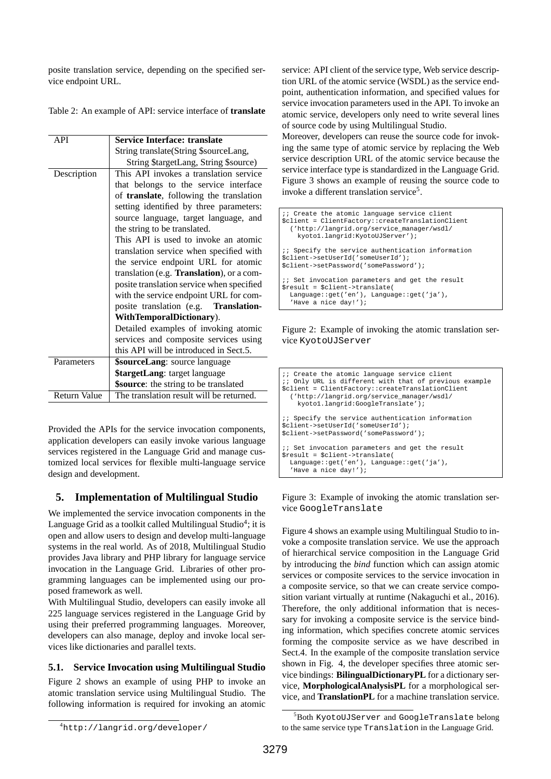posite translation service, depending on the specified service endpoint URL.

|  | Table 2: An example of API: service interface of <b>translate</b> |  |  |  |
|--|-------------------------------------------------------------------|--|--|--|
|--|-------------------------------------------------------------------|--|--|--|

| API                 | <b>Service Interface: translate</b>       |  |  |  |
|---------------------|-------------------------------------------|--|--|--|
|                     | String translate (String \$sourceLang,    |  |  |  |
|                     | String \$targetLang, String \$source)     |  |  |  |
| Description         | This API invokes a translation service    |  |  |  |
|                     | that belongs to the service interface     |  |  |  |
|                     | of translate, following the translation   |  |  |  |
|                     | setting identified by three parameters:   |  |  |  |
|                     | source language, target language, and     |  |  |  |
|                     | the string to be translated.              |  |  |  |
|                     | This API is used to invoke an atomic      |  |  |  |
|                     | translation service when specified with   |  |  |  |
|                     | the service endpoint URL for atomic       |  |  |  |
|                     | translation (e.g. Translation), or a com- |  |  |  |
|                     | posite translation service when specified |  |  |  |
|                     | with the service endpoint URL for com-    |  |  |  |
|                     | posite translation (e.g. Translation-     |  |  |  |
|                     | WithTemporalDictionary).                  |  |  |  |
|                     | Detailed examples of invoking atomic      |  |  |  |
|                     | services and composite services using     |  |  |  |
|                     | this API will be introduced in Sect.5.    |  |  |  |
| Parameters          | <b>\$sourceLang:</b> source language      |  |  |  |
|                     | <b>\$targetLang:</b> target language      |  |  |  |
|                     | \$source: the string to be translated     |  |  |  |
| <b>Return Value</b> | The translation result will be returned.  |  |  |  |
|                     |                                           |  |  |  |

Provided the APIs for the service invocation components, application developers can easily invoke various language services registered in the Language Grid and manage customized local services for flexible multi-language service design and development.

### **5. Implementation of Multilingual Studio**

We implemented the service invocation components in the Language Grid as a toolkit called Multilingual Studio<sup>4</sup>; it is open and allow users to design and develop multi-language systems in the real world. As of 2018, Multilingual Studio provides Java library and PHP library for language service invocation in the Language Grid. Libraries of other programming languages can be implemented using our proposed framework as well.

With Multilingual Studio, developers can easily invoke all 225 language services registered in the Language Grid by using their preferred programming languages. Moreover, developers can also manage, deploy and invoke local services like dictionaries and parallel texts.

### **5.1. Service Invocation using Multilingual Studio**

Figure 2 shows an example of using PHP to invoke an atomic translation service using Multilingual Studio. The following information is required for invoking an atomic service: API client of the service type, Web service description URL of the atomic service (WSDL) as the service endpoint, authentication information, and specified values for service invocation parameters used in the API. To invoke an atomic service, developers only need to write several lines of source code by using Multilingual Studio.

Moreover, developers can reuse the source code for invoking the same type of atomic service by replacing the Web service description URL of the atomic service because the service interface type is standardized in the Language Grid. Figure 3 shows an example of reusing the source code to invoke a different translation service<sup>5</sup>.

```
;; Create the atomic language service client
$client = ClientFactory::createTranslationClient
  ('http://langrid.org/service_manager/wsdl/
    kyoto1.langrid:KyotoUJServer');
;; Specify the service authentication information
$client->setUserId('someUserId');
$client->setPassword('somePassword');
;; Set invocation parameters and get the result
$result = $client->translate(
  Language::get('en'), Language::get('ja'),
  'Have a nice day!');
```
Figure 2: Example of invoking the atomic translation service KyotoUJServer

```
;; Create the atomic language service client
;; Only URL is different with that of previous example
$client = ClientFactory::createTranslationClient
  ('http://langrid.org/service_manager/wsdl/
    kyoto1.langrid:GoogleTranslate');
;; Specify the service authentication information
$client->setUserId('someUserId');
$client->setPassword('somePassword');
i; Set invocation parameters and get the result
$result = $client->translate(
  Language::get('en'), Language::get('ja'),
  'Have a nice day!');
```
Figure 3: Example of invoking the atomic translation service GoogleTranslate

Figure 4 shows an example using Multilingual Studio to invoke a composite translation service. We use the approach of hierarchical service composition in the Language Grid by introducing the *bind* function which can assign atomic services or composite services to the service invocation in a composite service, so that we can create service composition variant virtually at runtime (Nakaguchi et al., 2016). Therefore, the only additional information that is necessary for invoking a composite service is the service binding information, which specifies concrete atomic services forming the composite service as we have described in Sect.4. In the example of the composite translation service shown in Fig. 4, the developer specifies three atomic service bindings: **BilingualDictionaryPL** for a dictionary service, **MorphologicalAnalysisPL** for a morphological service, and **TranslationPL** for a machine translation service.

<sup>4</sup>http://langrid.org/developer/

<sup>5</sup>Both KyotoUJServer and GoogleTranslate belong to the same service type Translation in the Language Grid.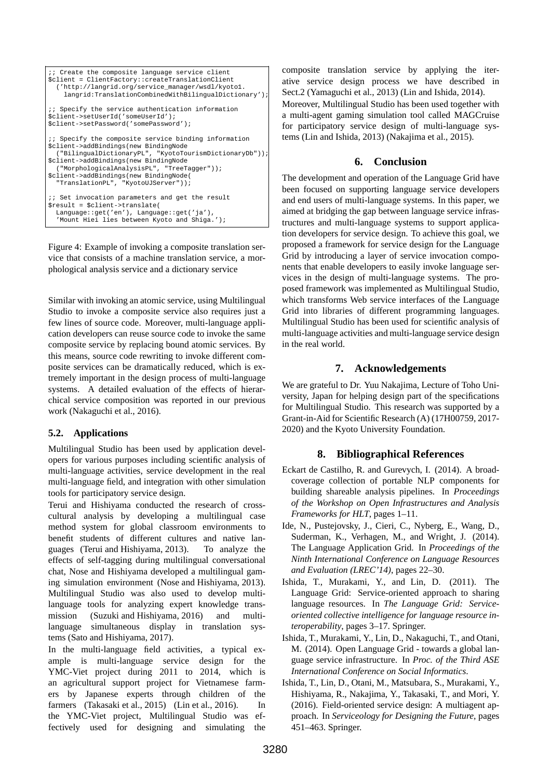```
;; Create the composite language service client
$client = ClientFactory::createTranslationClient
  ('http://langrid.org/service_manager/wsdl/kyoto1.
   langrid:TranslationCombinedWithBilingualDictionary');
;; Specify the service authentication information
$client->setUserId('someUserId');
$client->setPassword('somePassword');
;; Specify the composite service binding information
$client->addBindings(new BindingNode
  ("BilingualDictionaryPL", "KyotoTourismDictionaryDb"));
$client->addBindings(new BindingNode
  ("MorphologicalAnalysisPL", "TreeTagger"));
$client->addBindings(new BindingNode(
  "TranslationPL", "KyotoUJServer"));
;; Set invocation parameters and get the result
$result = $client->translate(
  Language::get('en'), Language::get('ja'),
  'Mount Hiei lies between Kyoto and Shiga.');
```
Figure 4: Example of invoking a composite translation service that consists of a machine translation service, a morphological analysis service and a dictionary service

Similar with invoking an atomic service, using Multilingual Studio to invoke a composite service also requires just a few lines of source code. Moreover, multi-language application developers can reuse source code to invoke the same composite service by replacing bound atomic services. By this means, source code rewriting to invoke different composite services can be dramatically reduced, which is extremely important in the design process of multi-language systems. A detailed evaluation of the effects of hierarchical service composition was reported in our previous work (Nakaguchi et al., 2016).

### **5.2. Applications**

Multilingual Studio has been used by application developers for various purposes including scientific analysis of multi-language activities, service development in the real multi-language field, and integration with other simulation tools for participatory service design.

Terui and Hishiyama conducted the research of crosscultural analysis by developing a multilingual case method system for global classroom environments to benefit students of different cultures and native languages (Terui and Hishiyama, 2013). To analyze the effects of self-tagging during multilingual conversational chat, Nose and Hishiyama developed a multilingual gaming simulation environment (Nose and Hishiyama, 2013). Multilingual Studio was also used to develop multilanguage tools for analyzing expert knowledge transmission (Suzuki and Hishiyama, 2016) and multilanguage simultaneous display in translation systems (Sato and Hishiyama, 2017).

In the multi-language field activities, a typical example is multi-language service design for the YMC-Viet project during 2011 to 2014, which is an agricultural support project for Vietnamese farmers by Japanese experts through children of the farmers (Takasaki et al., 2015) (Lin et al., 2016). In the YMC-Viet project, Multilingual Studio was effectively used for designing and simulating the

composite translation service by applying the iterative service design process we have described in Sect.2 (Yamaguchi et al., 2013) (Lin and Ishida, 2014).

Moreover, Multilingual Studio has been used together with a multi-agent gaming simulation tool called MAGCruise for participatory service design of multi-language systems (Lin and Ishida, 2013) (Nakajima et al., 2015).

## **6. Conclusion**

The development and operation of the Language Grid have been focused on supporting language service developers and end users of multi-language systems. In this paper, we aimed at bridging the gap between language service infrastructures and multi-language systems to support application developers for service design. To achieve this goal, we proposed a framework for service design for the Language Grid by introducing a layer of service invocation components that enable developers to easily invoke language services in the design of multi-language systems. The proposed framework was implemented as Multilingual Studio, which transforms Web service interfaces of the Language Grid into libraries of different programming languages. Multilingual Studio has been used for scientific analysis of multi-language activities and multi-language service design in the real world.

### **7. Acknowledgements**

We are grateful to Dr. Yuu Nakajima, Lecture of Toho University, Japan for helping design part of the specifications for Multilingual Studio. This research was supported by a Grant-in-Aid for Scientific Research (A) (17H00759, 2017- 2020) and the Kyoto University Foundation.

### **8. Bibliographical References**

- Eckart de Castilho, R. and Gurevych, I. (2014). A broadcoverage collection of portable NLP components for building shareable analysis pipelines. In *Proceedings of the Workshop on Open Infrastructures and Analysis Frameworks for HLT*, pages 1–11.
- Ide, N., Pustejovsky, J., Cieri, C., Nyberg, E., Wang, D., Suderman, K., Verhagen, M., and Wright, J. (2014). The Language Application Grid. In *Proceedings of the Ninth International Conference on Language Resources and Evaluation (LREC'14)*, pages 22–30.
- Ishida, T., Murakami, Y., and Lin, D. (2011). The Language Grid: Service-oriented approach to sharing language resources. In *The Language Grid: Serviceoriented collective intelligence for language resource interoperability*, pages 3–17. Springer.
- Ishida, T., Murakami, Y., Lin, D., Nakaguchi, T., and Otani, M. (2014). Open Language Grid - towards a global language service infrastructure. In *Proc. of the Third ASE International Conference on Social Informatics*.
- Ishida, T., Lin, D., Otani, M., Matsubara, S., Murakami, Y., Hishiyama, R., Nakajima, Y., Takasaki, T., and Mori, Y. (2016). Field-oriented service design: A multiagent approach. In *Serviceology for Designing the Future*, pages 451–463. Springer.